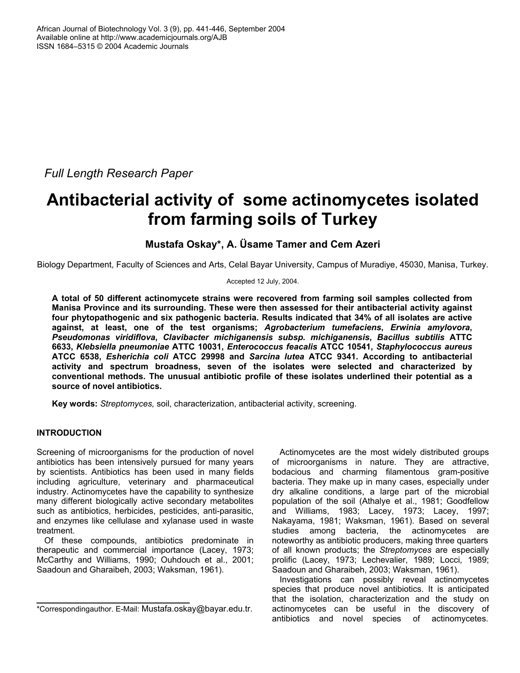*Full Length Research Paper* 

# **Antibacterial activity of some actinomycetes isolated from farming soils of Turkey**

**Mustafa Oskay\*, A. Üsame Tamer and Cem Azeri** 

Biology Department, Faculty of Sciences and Arts, Celal Bayar University, Campus of Muradiye, 45030, Manisa, Turkey.

Accepted 12 July, 2004.

**A total of 50 different actinomycete strains were recovered from farming soil samples collected from Manisa Province and its surrounding. These were then assessed for their antibacterial activity against four phytopathogenic and six pathogenic bacteria. Results indicated that 34% of all isolates are active against, at least, one of the test organisms;** *Agrobacterium tumefaciens***,** *Erwinia amylovora***,**  *Pseudomonas viridiflova***,** *Clavibacter michiganensis subsp. michiganensis***,** *Bacillus subtilis* **ATTC 6633,** *Klebsiella pneumoniae* **ATTC 10031,** *Enterococcus feacalis* **ATCC 10541,** *Staphylococcus aureus* **ATCC 6538,** *Esherichia coli* **ATCC 29998 and** *Sarcina lutea* **ATCC 9341. According to antibacterial activity and spectrum broadness, seven of the isolates were selected and characterized by conventional methods. The unusual antibiotic profile of these isolates underlined their potential as a source of novel antibiotics.** 

**Key words:** *Streptomyces,* soil, characterization, antibacterial activity, screening.

# **INTRODUCTION**

Screening of microorganisms for the production of novel antibiotics has been intensively pursued for many years by scientists. Antibiotics has been used in many fields including agriculture, veterinary and pharmaceutical industry. Actinomycetes have the capability to synthesize many different biologically active secondary metabolites such as antibiotics, herbicides, pesticides, anti-parasitic, and enzymes like cellulase and xylanase used in waste treatment.

Of these compounds, antibiotics predominate in therapeutic and commercial importance (Lacey, 1973; McCarthy and Williams, 1990; Ouhdouch et al., 2001; Saadoun and Gharaibeh, 2003; Waksman, 1961).

Actinomycetes are the most widely distributed groups of microorganisms in nature. They are attractive, bodacious and charming filamentous gram-positive bacteria. They make up in many cases, especially under dry alkaline conditions, a large part of the microbial population of the soil (Athalye et al., 1981; Goodfellow and Williams, 1983; Lacey, 1973; Lacey, 1997; Nakayama, 1981; Waksman, 1961). Based on several studies among bacteria, the actinomycetes are noteworthy as antibiotic producers, making three quarters of all known products; the *Streptomyces* are especially prolific (Lacey, 1973; Lechevalier, 1989; Locci, 1989; Saadoun and Gharaibeh, 2003; Waksman, 1961).

Investigations can possibly reveal actinomycetes species that produce novel antibiotics. It is anticipated that the isolation, characterization and the study on actinomycetes can be useful in the discovery of antibiotics and novel species of actinomycetes.

<sup>\*</sup>Correspondingauthor. E-Mail: Mustafa.oskay@bayar.edu.tr.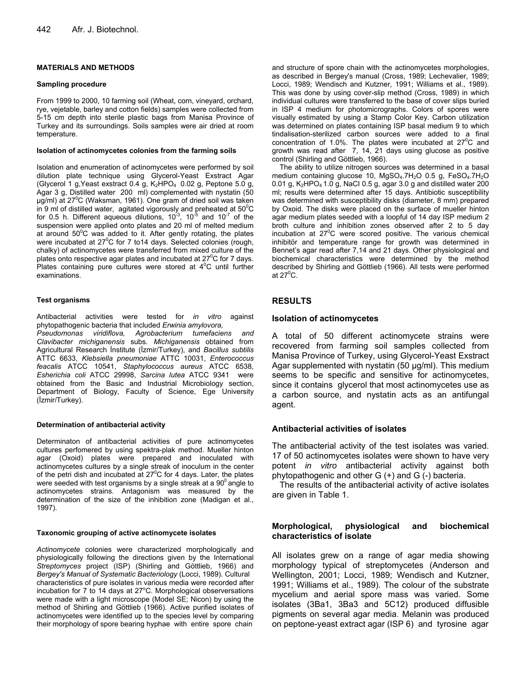## **MATERIALS AND METHODS**

#### **Sampling procedure**

From 1999 to 2000, 10 farming soil (Wheat, corn, vineyard, orchard, rye, vejetable, barley and cotton fields) samples were collected from 5-15 cm depth into sterile plastic bags from Manisa Province of Turkey and its surroundings. Soils samples were air dried at room temperature.

#### **Isolation of actinomycetes colonies from the farming soils**

Isolation and enumeration of actinomycetes were performed by soil dilution plate technique using Glycerol-Yeast Exstract Agar (Glycerol 1 g, Yeast exstract 0.4 g,  $K_2HPO_4$  0.02 g, Peptone 5.0 g, Agar 3 g, Distilled water 200 ml) complemented with nystatin (50 ug/ml) at 27<sup>°</sup>C (Waksman, 1961). One gram of dried soil was taken in 9 ml of distilled water, agitated vigorously and preheated at  $50^{\circ}$ C for 0.5 h. Different aqueous dilutions,  $10^{-3}$ ,  $10^{-5}$  and  $10^{-7}$  of the suspension were applied onto plates and 20 ml of melted medium at around  $50^{\circ}$ C was added to it. After gently rotating, the plates were incubated at  $27^0C$  for 7 to 14 days. Selected colonies (rough, chalky) of actinomycetes were transferred from mixed culture of the plates onto respective agar plates and incubated at  $27^{\circ}$ C for 7 days. Plates containing pure cultures were stored at  $4^{\circ}$ C until further examinations.

### **Test organisms**

Antibacterial activities were tested for *in vitro* against phytopathogenic bacteria that included *Erwinia amylovora,*

*Pseudomonas viridiflova, Agrobacterium tumefaciens and Clavibacter michiganensis* subs. *Michiganensis* obtained from Agricultural Research İnstitute (İzmir/Turkey), and *Bacillus subtilis* ATTC 6633, *Klebsiella pneumoniae* ATTC 10031, *Enterococcus feacalis* ATCC 10541, *Staphylococcus aureus* ATCC 6538, *Esherichia coli* ATCC 29998, *Sarcina lutea* ATCC 9341 were obtained from the Basic and Industrial Microbiology section, Department of Biology, Faculty of Science, Ege University (İzmir/Turkey).

#### **Determination of antibacterial activity**

Determinaton of antibacterial activities of pure actinomycetes cultures perfomered by using spektra-plak method. Mueller hinton agar (Oxoid) plates were prepared and inoculated with actinomycetes cultures by a single streak of inoculum in the center of the petri dish and incubated at  $27^{\circ}$ C for 4 days. Later, the plates were seeded with test organisms by a single streak at a  $90^0$  angle to actinomycetes strains. Antagonism was measured by the determination of the size of the inhibition zone (Madigan et al., 1997).

#### **Taxonomic grouping of active actinomycete isolates**

*Actinomycete* colonies were characterized morphologically and physiologically following the directions given by the International *Streptomyces* project (ISP) (Shirling and Göttlieb, 1966) and *Bergey's Manual of Systematic Bacteriology* (Locci, 1989). Cultural characteristics of pure isolates in various media were recorded after incubation for 7 to 14 days at 27°C. Morphological observersations were made with a light microscope (Model SE; Nicon) by using the method of Shirling and Göttlieb (1966). Active purified isolates of actinomycetes were identified up to the species level by comparing their morphology of spore bearing hyphae with entire spore chain

and structure of spore chain with the actinomycetes morphologies, as described in Bergey's manual (Cross, 1989; Lechevalier, 1989; Locci, 1989; Wendisch and Kutzner, 1991; Williams et al., 1989). This was done by using cover-slip method (Cross, 1989) in which individual cultures were transferred to the base of cover slips buried in ISP 4 medium for photomicrographs. Colors of spores were visually estimated by using a Stamp Color Key. Carbon utilization was determined on plates containing ISP basal medium 9 to which tindalisation-sterilized carbon sources were added to a final concentration of 1.0%. The plates were incubated at  $27^{\circ}$ C and growth was read after 7, 14, 21 days using glucose as positive control (Shirling and Göttlieb, 1966).

The ability to utilize nitrogen sources was determined in a basal medium containing glucose 10, MgSO<sub>4</sub>.7H<sub>2</sub>O 0.5 g, FeSO<sub>4</sub>.7H<sub>2</sub>O 0.01 g,  $K_2HPO_4$  1.0 g, NaCl 0.5 g, agar 3.0 g and distilled water 200 ml; results were determined after 15 days. Antibiotic susceptibility was determined with susceptibility disks (diameter, 8 mm) prepared by Oxoid. The disks were placed on the surface of mueller hinton agar medium plates seeded with a loopful of 14 day ISP medium 2 broth culture and inhibition zones observed after 2 to 5 day incubation at  $27^{\circ}$ C were scored positive. The various chemical inhibitör and temperature range for growth was determined in Bennet's agar read after 7,14 and 21 days. Other physiological and biochemical characteristics were determined by the method described by Shirling and Göttlieb (1966). All tests were performed at 27 $^{\rm 0}$ C.

# **RESULTS**

## **Isolation of actinomycetes**

A total of 50 different actinomycete strains were recovered from farming soil samples collected from Manisa Province of Turkey, using Glycerol-Yeast Exstract Agar supplemented with nystatin  $(50 \mu g/ml)$ . This medium seems to be specific and sensitive for actinomycetes, since it contains glycerol that most actinomycetes use as a carbon source, and nystatin acts as an antifungal agent.

## **Antibacterial activities of isolates**

The antibacterial activity of the test isolates was varied. 17 of 50 actinomycetes isolates were shown to have very potent *in vitro* antibacterial activity against both phytopathogenic and other G (+) and G (-) bacteria.

The results of the antibacterial activity of active isolates are given in Table 1.

# **Morphological, physiological and biochemical characteristics of isolate**

All isolates grew on a range of agar media showing morphology typical of streptomycetes (Anderson and Wellington, 2001; Locci, 1989; Wendisch and Kutzner, 1991; Williams et al., 1989). The colour of the substrate mycelium and aerial spore mass was varied. Some isolates (3Ba1, 3Ba3 and 5C12) produced diffusible pigments on several agar media. Melanin was produced on peptone-yeast extract agar (ISP 6) and tyrosine agar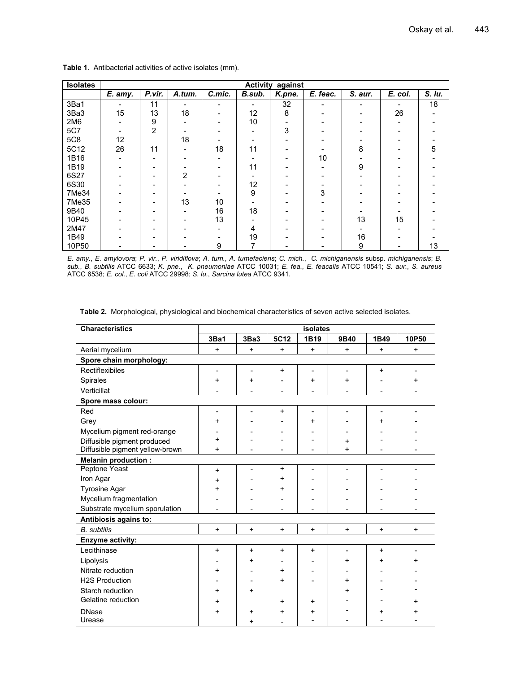| <b>Isolates</b> | against<br><b>Activity</b> |        |        |        |        |        |          |         |         |        |
|-----------------|----------------------------|--------|--------|--------|--------|--------|----------|---------|---------|--------|
|                 | E. amy.                    | P.vir. | A.tum. | C.mic. | B.sub. | K.pne. | E. feac. | S. aur. | E. col. | S. Iu. |
| 3Ba1            |                            | 11     |        | -      |        | 32     |          |         |         | 18     |
| 3Ba3            | 15                         | 13     | 18     |        | 12     | 8      |          |         | 26      |        |
| 2M <sub>6</sub> |                            | 9      |        |        | 10     |        |          |         |         |        |
| <b>5C7</b>      |                            | 2      |        |        |        | 3      |          |         |         |        |
| <b>5C8</b>      | 12                         |        | 18     |        |        |        |          |         |         |        |
| 5C12            | 26                         | 11     |        | 18     | 11     |        |          | 8       |         | 5      |
| 1B16            |                            |        |        |        |        |        | 10       |         |         |        |
| 1B19            |                            |        |        |        | 11     |        |          | 9       |         |        |
| 6S27            |                            |        | 2      |        |        |        |          |         |         |        |
| 6S30            |                            |        |        |        | 12     |        |          |         |         |        |
| 7Me34           |                            |        |        |        | 9      |        | 3        |         |         |        |
| 7Me35           |                            |        | 13     | 10     |        |        |          |         |         |        |
| 9B40            |                            |        |        | 16     | 18     |        |          |         |         |        |
| 10P45           |                            |        |        | 13     |        |        |          | 13      | 15      |        |
| 2M47            |                            |        |        |        | 4      |        |          |         |         |        |
| 1B49            |                            |        |        |        | 19     |        |          | 16      |         |        |
| 10P50           |                            |        |        | 9      |        |        |          | 9       |         | 13     |

 **Table 1**. Antibacterial activities of active isolates (mm).

*E. amy.*, *E. amylovora*; *P. vir.*, *P. viridiflova*; *A. tum.*, *A. tumefaciens*; *C. mich.*, *C. michiganensis* subsp. *michiganensis*; *B. sub.*, *B. subtilis* ATCC 6633; *K. pne.*, *K. pneumoniae* ATCC 10031; *E. fea.*, *E. feacalis* ATCC 10541; *S. aur.*, *S. aureus*  ATCC 6538; *E. col.*, *E. coli* ATCC 29998; *S. lu.*, *Sarcina lutea* ATCC 9341.

| <b>Characteristics</b>          | isolates  |                          |           |                |           |           |           |  |
|---------------------------------|-----------|--------------------------|-----------|----------------|-----------|-----------|-----------|--|
|                                 | 3Ba1      | 3Ba3                     | 5C12      | 1B19           | 9B40      | 1B49      | 10P50     |  |
| Aerial mycelium                 | $\ddot{}$ | $\ddot{}$                | $+$       | $\ddot{}$      | $+$       | $\ddot{}$ | $\ddot{}$ |  |
| Spore chain morphology:         |           |                          |           |                |           |           |           |  |
| Rectiflexibiles                 | -         | $\overline{\phantom{a}}$ | $\ddot{}$ | $\blacksquare$ | L         | $\ddot{}$ |           |  |
| Spirales                        | $\ddot{}$ | $\ddot{}$                | ۳         | $\ddot{}$      | $\ddot{}$ |           | $\ddot{}$ |  |
| Verticillat                     |           |                          | ۰         |                |           |           |           |  |
| Spore mass colour:              |           |                          |           |                |           |           |           |  |
| Red                             |           |                          | $\ddot{}$ |                |           |           |           |  |
| Grey                            | $+$       |                          |           | $\ddot{}$      |           | $\ddot{}$ |           |  |
| Mycelium pigment red-orange     |           |                          |           |                |           |           |           |  |
| Diffusible pigment produced     | $\ddot{}$ |                          |           |                | $\ddot{}$ |           |           |  |
| Diffusible pigment yellow-brown | $\ddot{}$ |                          |           |                | $\ddot{}$ |           |           |  |
| <b>Melanin production:</b>      |           |                          |           |                |           |           |           |  |
| Peptone Yeast                   | $\ddot{}$ |                          | $\ddot{}$ |                |           |           |           |  |
| Iron Agar                       | $\ddot{}$ |                          | $\ddot{}$ |                |           |           |           |  |
| <b>Tyrosine Agar</b>            | $\ddot{}$ |                          | $\ddot{}$ |                |           |           |           |  |
| Mycelium fragmentation          |           |                          |           |                |           |           |           |  |
| Substrate mycelium sporulation  |           |                          |           |                |           |           |           |  |
| Antibiosis agains to:           |           |                          |           |                |           |           |           |  |
| <b>B.</b> subtilis              | $+$       | $+$                      | $+$       | $+$            | $+$       | $+$       | $+$       |  |
| Enzyme activity:                |           |                          |           |                |           |           |           |  |
| Lecithinase                     | $\ddot{}$ | $\ddot{}$                | $\ddot{}$ | $\ddot{}$      |           | $\ddot{}$ |           |  |
| Lipolysis                       |           | +                        |           |                | $\ddot{}$ | $\div$    | +         |  |
| Nitrate reduction               | $\ddot{}$ |                          | $\ddot{}$ |                |           |           |           |  |
| <b>H2S Production</b>           |           |                          | $+$       |                | $\ddot{}$ |           |           |  |
| Starch reduction                | $\ddot{}$ | $\ddot{}$                |           |                | $\ddot{}$ |           |           |  |
| Gelatine reduction              | $\ddot{}$ |                          | $\ddot{}$ | $\ddot{}$      |           |           |           |  |
| <b>DNase</b>                    | $\ddot{}$ | $\ddot{}$                | $\ddot{}$ | $\ddag$        |           | +         |           |  |
| Urease                          |           | $\ddot{}$                |           |                |           |           |           |  |

**Table 2.** Morphological, physiological and biochemical characteristics of seven active selected isolates.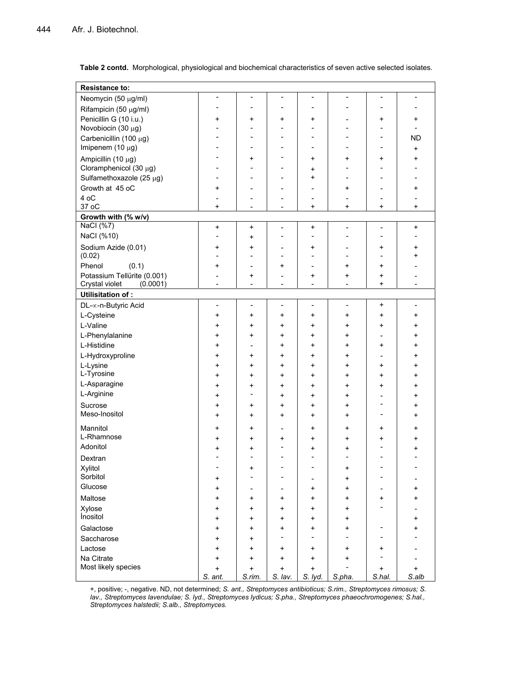| <b>Resistance to:</b>                      |                                  |                          |                      |                                       |                              |                                       |                          |  |  |
|--------------------------------------------|----------------------------------|--------------------------|----------------------|---------------------------------------|------------------------------|---------------------------------------|--------------------------|--|--|
| Neomycin (50 µg/ml)                        | $\overline{a}$                   | $\overline{\phantom{a}}$ |                      | $\overline{\phantom{a}}$              |                              | $\overline{\phantom{a}}$              |                          |  |  |
| Rifampicin (50 µg/ml)                      | $\blacksquare$                   |                          |                      | $\overline{a}$                        |                              | $\blacksquare$                        |                          |  |  |
| Penicillin G (10 i.u.)                     | +                                | +                        | +                    | +                                     |                              | +                                     | +                        |  |  |
| Novobiocin (30 μg)                         | $\blacksquare$                   |                          | ۰                    | ۰                                     | ۰                            | ۰                                     | $\blacksquare$           |  |  |
| Carbenicillin (100 µg)                     | ۰                                | ۰                        | ۰                    | ۰                                     |                              | $\overline{\phantom{a}}$              | <b>ND</b>                |  |  |
| Imipenem (10 µg)                           | $\sim$                           | ۰                        | ۳                    | $\blacksquare$                        | ۰                            | $\blacksquare$                        | $\ddot{}$                |  |  |
| Ampicillin (10 µg)                         | $\overline{\phantom{a}}$         | $\ddot{}$                |                      | $\ddot{}$                             | $\ddot{}$                    | $\ddot{}$                             | $\ddot{}$                |  |  |
| Cloramphenicol (30 µg)                     | $\blacksquare$                   | ۰                        | ۳                    | +                                     | ÷                            | ۰                                     |                          |  |  |
| Sulfamethoxazole (25 µg)                   | $\sim$                           | ۰                        | ۳                    | $\ddot{}$                             | ۰                            | $\blacksquare$                        |                          |  |  |
| Growth at 45 oC                            | $\ddot{}$                        | $\overline{a}$           |                      | -                                     | $\ddot{}$                    | $\overline{a}$                        | $\ddot{}$                |  |  |
| 4 oC                                       | $\sim$                           | $\overline{a}$           | ۳                    | $\blacksquare$                        | ۰                            | $\sim$                                |                          |  |  |
| 37 oC                                      | $\ddot{}$                        |                          |                      | +                                     | $\ddot{}$                    | +                                     | +                        |  |  |
| Growth with (% w/v)                        |                                  |                          |                      |                                       |                              |                                       |                          |  |  |
| NaCl (%7)                                  | $\ddot{}$                        | $\ddot{}$                | L,                   | $\ddag$                               | $\overline{\phantom{a}}$     | $\blacksquare$                        | $\ddag$                  |  |  |
| NaCl (%10)                                 | $\overline{\phantom{a}}$         | $\ddot{}$                |                      | $\qquad \qquad \blacksquare$          |                              | $\blacksquare$                        |                          |  |  |
| Sodium Azide (0.01)                        | +                                | +                        |                      | +                                     |                              | +                                     | +                        |  |  |
| (0.02)                                     |                                  |                          |                      | $\overline{a}$                        |                              | $\overline{a}$                        | $\ddot{}$                |  |  |
| Phenol<br>(0.1)                            | +                                | $\overline{a}$           | +                    | $\blacksquare$                        | $\ddot{}$                    | $\ddot{}$                             |                          |  |  |
| Potassium Tellürite (0.001)<br>(0.0001)    | $\overline{a}$<br>$\blacksquare$ | +                        | $\overline{a}$<br>ä, | $\ddot{}$<br>$\overline{\phantom{a}}$ | $\ddot{}$                    | $\ddot{}$<br>$\ddot{}$                | $\blacksquare$           |  |  |
| Crystal violet<br><b>Utilisitation of:</b> |                                  |                          |                      |                                       |                              |                                       |                          |  |  |
| DL-∞-n-Butyric Acid                        | $\overline{\phantom{a}}$         | $\overline{\phantom{a}}$ | ۰                    | $\overline{\phantom{a}}$              | $\qquad \qquad \blacksquare$ | +                                     | $\overline{\phantom{a}}$ |  |  |
| L-Cysteine                                 | +                                | $\ddot{}$                | +                    | +                                     | $\ddot{}$                    | $\ddot{}$                             | +                        |  |  |
| L-Valine                                   | $\ddot{}$                        | $\ddot{}$                | +                    | $\ddot{}$                             | $\ddot{}$                    | $\ddot{}$                             | +                        |  |  |
| L-Phenylalanine                            | +                                | $\ddot{}$                | $\ddot{}$            | $\ddot{}$                             | $\ddot{}$                    | $\blacksquare$                        | $\ddot{}$                |  |  |
| L-Histidine                                | +                                |                          | +                    | +                                     | $\ddot{}$                    | $\ddot{}$                             | $\ddot{}$                |  |  |
| L-Hydroxyproline                           | $\ddot{}$                        | +                        | +                    | +                                     | $\ddot{}$                    | $\blacksquare$                        | $\ddag$                  |  |  |
| L-Lysine                                   | $\ddot{}$                        | $\ddot{}$                | $\ddot{}$            | $\ddot{}$                             | $\ddot{}$                    | $\ddot{}$                             | $\ddot{}$                |  |  |
| L-Tyrosine                                 | $\ddot{}$                        | $\ddot{}$                | $\ddot{}$            | $\ddot{}$                             | $\ddot{}$                    | $\ddot{}$                             | $\ddot{}$                |  |  |
| L-Asparagine                               | $\ddot{}$                        | +                        | +                    | $\ddot{}$                             | $\ddot{}$                    | $\ddot{}$                             | $\ddot{}$                |  |  |
| L-Arginine                                 | $\ddot{}$                        | $\blacksquare$           | +                    | $\ddot{}$                             | +                            | ۰                                     | +                        |  |  |
| Sucrose                                    | $\ddot{}$                        | +                        | +                    | +                                     | +                            | $\overline{a}$                        | +                        |  |  |
| Meso-Inositol                              | +                                | +                        | +                    | +                                     | +                            | $\qquad \qquad \blacksquare$          | +                        |  |  |
| Mannitol                                   |                                  |                          |                      |                                       |                              |                                       |                          |  |  |
| L-Rhamnose                                 | +                                | +                        | ۰                    | +                                     | +                            | +                                     | +                        |  |  |
| Adonitol                                   | $\ddot{}$                        | +                        | +<br>۰               | $\ddot{}$                             | $\ddot{}$                    | $\ddot{}$<br>$\overline{\phantom{a}}$ | +                        |  |  |
| Dextran                                    | +                                | +<br>٠                   | ÷,                   | +<br>$\overline{a}$                   | +<br>$\overline{a}$          | $\blacksquare$                        | +<br>÷.                  |  |  |
| Xylitol                                    |                                  |                          |                      |                                       |                              |                                       |                          |  |  |
| Sorbitol                                   | +                                | +                        |                      | ۰                                     | $\ddot{}$<br>$\ddot{}$       |                                       |                          |  |  |
| Glucose                                    | +                                | ۰                        |                      | +                                     | $\ddot{}$                    | $\overline{\phantom{a}}$              | $\ddot{}$                |  |  |
| Maltose                                    | +                                | +                        | +                    | $\ddot{}$                             | $\ddot{}$                    | +                                     | +                        |  |  |
| Xylose                                     | +                                | +                        | +                    | +                                     | $\ddot{}$                    |                                       |                          |  |  |
| Inositol                                   | +                                | +                        | +                    | +                                     | $\ddot{}$                    |                                       | +                        |  |  |
| Galactose                                  | $\ddot{}$                        | $\ddot{}$                | $\ddag$              | $\ddot{}$                             | $\ddot{}$                    | ۰                                     | $\ddot{}$                |  |  |
| Saccharose                                 | +                                | +                        |                      | $\overline{\phantom{a}}$              | ۰                            | ۰                                     |                          |  |  |
| Lactose                                    | +                                | $\ddot{}$                | +                    | $\ddot{}$                             | +                            | +                                     |                          |  |  |
| Na Citrate                                 | +                                | +                        | +                    | $\ddot{}$                             | +                            | ÷,                                    |                          |  |  |
| Most likely species                        | +                                | +                        | +                    | +                                     |                              | $\ddot{}$                             | +                        |  |  |
|                                            | S. ant.                          | S.rim.                   | S. lav.              | S. lyd.                               | S.pha.                       | S.hal.                                | S.alb                    |  |  |

**Table 2 contd.** Morphological, physiological and biochemical characteristics of seven active selected isolates.

+, positive; -, negative. ND, not determined; *S. ant., Streptomyces antibioticus; S.rim., Streptomyces rimosus; S. lav., Streptomyces lavendulae; S. lyd., Streptomyces lydicus; S.pha., Streptomyces phaeochromogenes; S.hal., Streptomyces halstedii; S.alb., Streptomyces.*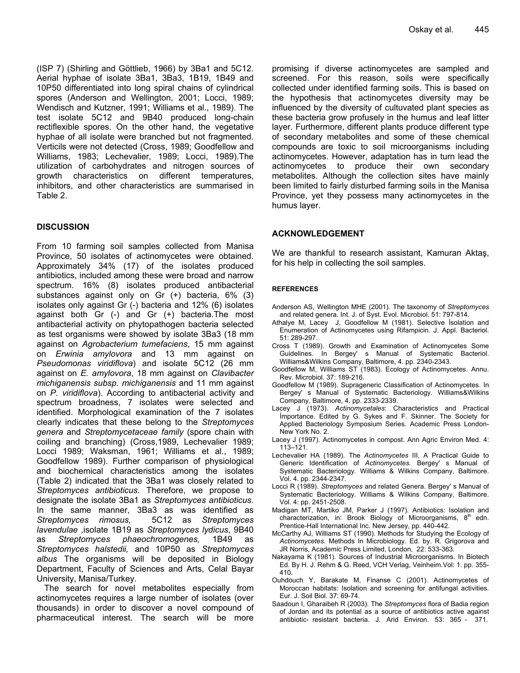(ISP 7) (Shirling and Göttlieb, 1966) by 3Ba1 and 5C12. Aerial hyphae of isolate 3Ba1, 3Ba3, 1B19, 1B49 and 10P50 differentiated into long spiral chains of cylindrical spores (Anderson and Wellington, 2001; Locci, 1989; Wendisch and Kutzner, 1991; Williams et al., 1989). The test isolate 5C12 and 9B40 produced long-chain rectiflexible spores. On the other hand, the vegetative hyphae of all isolate were branched but not fragmented. Verticils were not detected (Cross, 1989; Goodfellow and Williams, 1983; Lechevalier, 1989; Locci, 1989).The utilization of carbohydrates and nitrogen sources of growth characteristics on different temperatures, inhibitors, and other characteristics are summarised in Table 2.

# **DISCUSSION**

From 10 farming soil samples collected from Manisa Province, 50 isolates of actinomycetes were obtained. Approximately 34% (17) of the isolates produced antibiotics, included among these were broad and narrow spectrum. 16% (8) isolates produced antibacterial substances against only on Gr (+) bacteria, 6% (3) isolates only against Gr (-) bacteria and 12% (6) isolates against both Gr (-) and Gr (+) bacteria.The most antibacterial activity on phytopathogen bacteria selected as test organisms were showed by isolate 3Ba3 (18 mm against on *Agrobacterium tumefaciens*, 15 mm against on *Erwinia amylovora* and 13 mm against on *Pseudomonas viridiflova*) and isolate 5C12 (26 mm against on *E. amylovora*, 18 mm against on *Clavibacter michiganensis subsp. michiganensis* and 11 mm against on *P. viridiflova*). According to antibacterial activity and spectrum broadness, 7 isolates were selected and identified. Morphological examination of the 7 isolates clearly indicates that these belong to the *Streptomyces genera* and *Streptomycetaceae family* (spore chain with coiling and branching) (Cross,1989, Lechevalier 1989; Locci 1989; Waksman, 1961; Williams et al., 1989; Goodfellow 1989). Further comparison of physiological and biochemical characteristics among the isolates (Table 2) indicated that the 3Ba1 was closely related to *Streptomyces antibioticus*. Therefore, we propose to designate the isolate 3Ba1 as *Streptomyces antibioticus*. In the same manner, 3Ba3 as was identified as *Streptomyces rimosus,* 5C12 as *Streptomyces lavendulae ,*isolate 1B19 as *Streptomyces lydicus*, 9B40 as *Streptomyces phaeochromogenes,* 1B49 as *Streptomyces halstedii,* and 10P50 as *Streptomyces albus* The organisms will be deposited in Biology Department, Faculty of Sciences and Arts, Celal Bayar University, Manisa/Turkey.

The search for novel metabolites especially from actinomycetes requires a large number of isolates (over thousands) in order to discover a novel compound of pharmaceutical interest. The search will be more

promising if diverse actinomycetes are sampled and screened. For this reason, soils were specifically collected under identified farming soils. This is based on the hypothesis that actinomycetes diversity may be influenced by the diversity of cultuvated plant species as these bacteria grow profusely in the humus and leaf litter layer. Furthermore, different plants produce different type of secondary metabolites and some of these chemical compounds are toxic to soil microorganisms including actinomycetes. However, adaptation has in turn lead the actinomycetes to produce their own secondary metabolites. Although the collection sites have mainly been limited to fairly disturbed farming soils in the Manisa Province, yet they possess many actinomycetes in the humus layer.

# **ACKNOWLEDGEMENT**

We are thankful to research assistant, Kamuran Aktaş, for his help in collecting the soil samples.

### **REFERENCES**

- Anderson AS, Wellington MHE (2001). The taxonomy of *Streptomyces* and related genera. Int. J. of Syst. Evol. Microbiol. 51: 797-814.
- Athalye M, Lacey J, Goodfellow M (1981). Selective İsolation and Enumeration of Actinomycetes using Rifampicin. J. Appl. Bacteriol. 51: 289-297.
- Cross T (1989). Growth and Examination of Actinomycetes Some Guidelines. In Bergey' s Manual of Systematic Bacteriol. Williams&Wilkins Company, Baltimore, 4. pp. 2340-2343.
- Goodfellow M, Williams ST (1983). Ecology of Actinomycetes. Annu. Rev. Microbiol*.* 37: 189-216.
- Goodfellow M (1989). Suprageneric Classification of Actinomycetes. In Bergey' s Manual of Systematic Bacteriology. Williams&Wilkins Company, Baltimore, 4. pp. 2333-2339.
- Lacey J (1973). *Actinomycetales*: Characteristics and Practical İmportance. Edited by G. Sykes and F. Skinner. The Society for Applied Bacteriology Symposium Series*.* Academic Press London-New York No. 2.
- Lacey J (1997). Actinomycetes in compost. Ann Agric Environ Med. 4: 113–121.
- Lechevalier HA (1989). The *Actinomycetes* III, A Practical Guide to Generic Identification of *Actinomycetes.* Bergey' s Manual of Systematic Bacteriology. Williams & Wilkins Company, Baltimore. Vol. 4. pp. 2344-2347.
- Locci R (1989). *Streptomyces* and related Genera. Bergey' s Manual of Systematic Bacteriology. Williams & Wilkins Company, Baltimore. Vol. 4: pp. 2451-2508.
- Madigan MT, Martiko JM, Parker J (1997). Antibiotics: Isolation and characterization, in: Brook Biology of Microorganisms,  $8<sup>th</sup>$  edn. Prentice-Hall International Inc. New Jersey, pp. 440-442.
- McCarthy AJ, Williams ST (1990). Methods for Studying the Ecology of *Actinomycetes*. Methods In Microbiology. Ed. by. R. Grigorova and JR Norris, Academic Press Limited, London, 22: 533-363.
- Nakayama K (1981). Sources of Industrial Microorganisms. In Biotech Ed. By H. J. Rehm & G. Reed, VCH Verlag, Veinheim.Vol: 1. pp. 355- 410.
- Ouhdouch Y, Barakate M, Finanse C (2001). Actinomycetes of Moroccan habitats: Isolation and screening for antifungal activities*.*  Eur. J*.* Soil Biol. 37: 69-74.
- Saadoun I, Gharaibeh R (2003). The *Streptomyces* flora of Badia region of Jordan and its potential as a source of antibiotics active against antibiotic- resistant bacteria. J. Arid Environ. 53: 365 - 371.